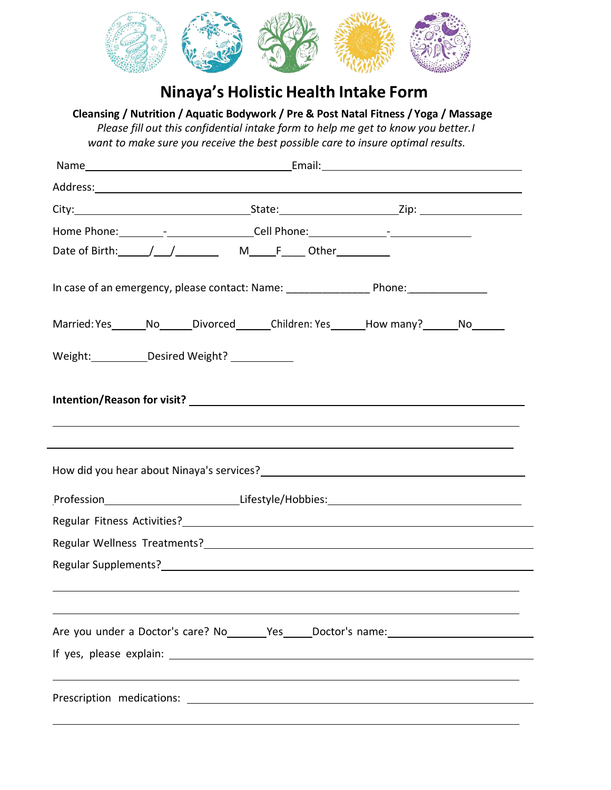

## **Ninaya's Holistic Health Intake Form**

**Cleansing / Nutrition / Aquatic Bodywork / Pre & Post Natal Fitness / Yoga / Massage** *Please fill out this confidential intake form to help me get to know you better.I want to make sure you receive the best possible care to insure optimal results.*

| Home Phone: ______________________________Cell Phone: __________________________                                                                                     |  |  |  |  |
|----------------------------------------------------------------------------------------------------------------------------------------------------------------------|--|--|--|--|
|                                                                                                                                                                      |  |  |  |  |
|                                                                                                                                                                      |  |  |  |  |
| Married: Yes _______No_______Divorced________Children: Yes _______How many? _______No________                                                                        |  |  |  |  |
| Weight: Desired Weight?                                                                                                                                              |  |  |  |  |
| ,我们也不会有什么。""我们的人,我们也不会有什么?""我们的人,我们也不会有什么?""我们的人,我们也不会有什么?""我们的人,我们也不会有什么?""我们的人                                                                                     |  |  |  |  |
| ,我们也不会有什么。""我们的人,我们也不会有什么?""我们的人,我们也不会有什么?""我们的人,我们也不会有什么?""我们的人,我们也不会有什么?""我们的人<br>Profession______________________________Lifestyle/Hobbies:______________________ |  |  |  |  |
|                                                                                                                                                                      |  |  |  |  |
|                                                                                                                                                                      |  |  |  |  |
|                                                                                                                                                                      |  |  |  |  |
|                                                                                                                                                                      |  |  |  |  |
| Are you under a Doctor's care? No _______Yes _____Doctor's name: ________________                                                                                    |  |  |  |  |
|                                                                                                                                                                      |  |  |  |  |
|                                                                                                                                                                      |  |  |  |  |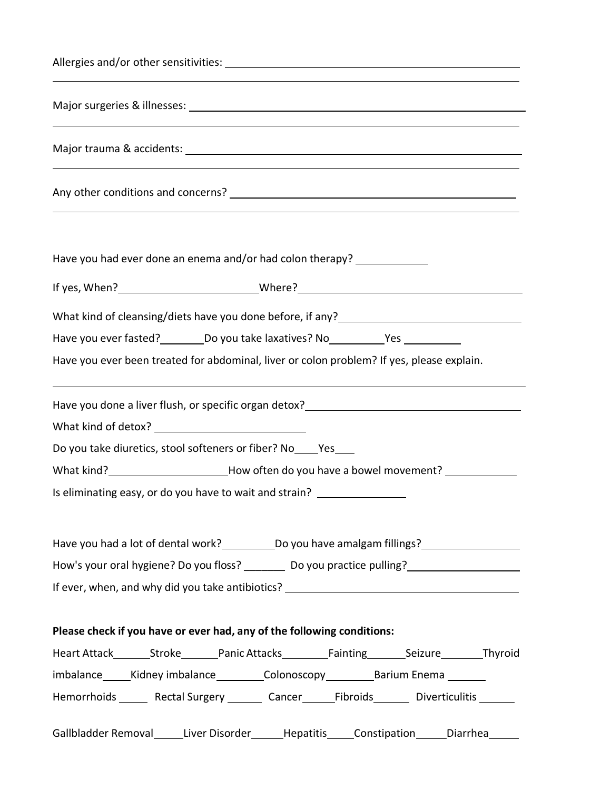| ,我们也不会有什么。""我们的人,我们也不会有什么?""我们的人,我们也不会有什么?""我们的人,我们的人,我们的人,我们的人,我们的人,我们的人,我们的人,我们                                      |  |  |  |
|------------------------------------------------------------------------------------------------------------------------|--|--|--|
| <u> 1989 - Johann Stoff, deutscher Stoffen und der Stoffen und der Stoffen und der Stoffen und der Stoffen und der</u> |  |  |  |
|                                                                                                                        |  |  |  |
|                                                                                                                        |  |  |  |
| Have you had ever done an enema and/or had colon therapy? ______________                                               |  |  |  |
|                                                                                                                        |  |  |  |
|                                                                                                                        |  |  |  |
| Have you ever fasted? __________ Do you take laxatives? No _____________Yes ____________                               |  |  |  |
| Have you ever been treated for abdominal, liver or colon problem? If yes, please explain.                              |  |  |  |
|                                                                                                                        |  |  |  |
|                                                                                                                        |  |  |  |
| Do you take diuretics, stool softeners or fiber? No _____ Yes                                                          |  |  |  |
| What kind?__________________________How often do you have a bowel movement? ____________                               |  |  |  |
| Is eliminating easy, or do you have to wait and strain? __________________                                             |  |  |  |
| Have you had a lot of dental work? _____________Do you have amalgam fillings? ______________________                   |  |  |  |
| How's your oral hygiene? Do you floss? _________ Do you practice pulling? _________________________                    |  |  |  |
| If ever, when, and why did you take antibiotics? _______________________________                                       |  |  |  |
| Please check if you have or ever had, any of the following conditions:                                                 |  |  |  |
|                                                                                                                        |  |  |  |
| imbalance______Kidney imbalance____________Colonoscopy____________Barium Enema ________                                |  |  |  |
| Hemorrhoids _______ Rectal Surgery ________ Cancer_______Fibroids________ Diverticulitis _______                       |  |  |  |
| Gallbladder Removal_______Liver Disorder_______Hepatitis_____Constipation_______Diarrhea_______                        |  |  |  |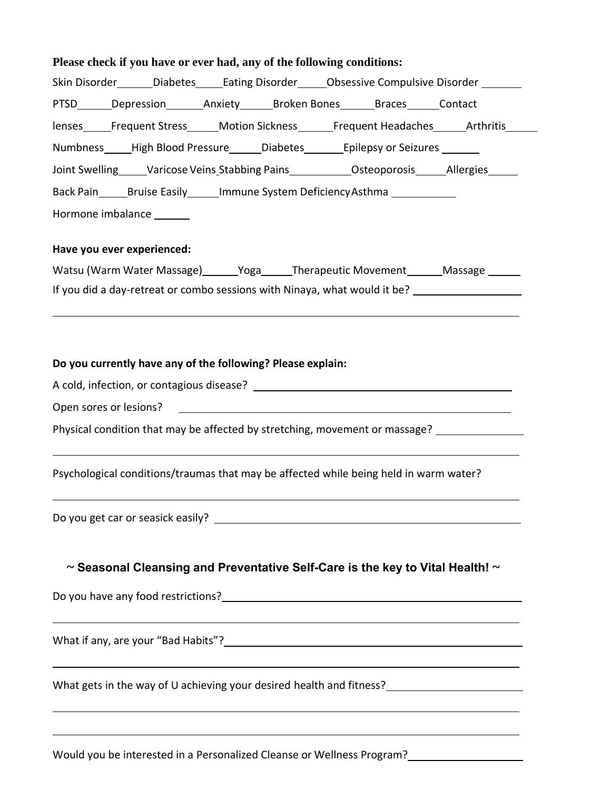| Please check if you have or ever had, any of the following conditions:                         |  |  |  |  |  |
|------------------------------------------------------------------------------------------------|--|--|--|--|--|
| Skin Disorder_______Diabetes______Eating Disorder______Obsessive Compulsive Disorder ________  |  |  |  |  |  |
|                                                                                                |  |  |  |  |  |
| lenses_____Frequent Stress______Motion Sickness______Frequent Headaches______Arthritis______   |  |  |  |  |  |
| Numbness_____High Blood Pressure______Diabetes________Epilepsy or Seizures ______              |  |  |  |  |  |
| Joint Swelling_____Varicose Veins_Stabbing Pains_____________Osteoporosis______Allergies______ |  |  |  |  |  |
| Back Pain Bruise Easily Immune System Deficiency Asthma                                        |  |  |  |  |  |
| Hormone imbalance ______                                                                       |  |  |  |  |  |
| Have you ever experienced:                                                                     |  |  |  |  |  |
| Watsu (Warm Water Massage) ______Yoga______Therapeutic Movement _______Massage _______         |  |  |  |  |  |
| If you did a day-retreat or combo sessions with Ninaya, what would it be?                      |  |  |  |  |  |
| ,我们也不会有什么。""我们的人,我们也不会有什么?""我们的人,我们也不会有什么?""我们的人,我们也不会有什么?""我们的人,我们也不会有什么?""我们的人               |  |  |  |  |  |
|                                                                                                |  |  |  |  |  |
| Do you currently have any of the following? Please explain:                                    |  |  |  |  |  |
|                                                                                                |  |  |  |  |  |
|                                                                                                |  |  |  |  |  |
| Physical condition that may be affected by stretching, movement or massage?                    |  |  |  |  |  |
| Psychological conditions/traumas that may be affected while being held in warm water?          |  |  |  |  |  |
| Do you get car or seasick easily?<br><u> 1989 - Johann Stoff, fransk politik (d. 1989)</u>     |  |  |  |  |  |
| $\sim$ Seasonal Cleansing and Preventative Self-Care is the key to Vital Health! $\sim$        |  |  |  |  |  |
|                                                                                                |  |  |  |  |  |
| ,我们也不会有什么。""我们的人,我们也不会有什么?""我们的人,我们也不会有什么?""我们的人,我们也不会有什么?""我们的人,我们也不会有什么?""我们的人               |  |  |  |  |  |
| What gets in the way of U achieving your desired health and fitness?<br>                       |  |  |  |  |  |
|                                                                                                |  |  |  |  |  |

Would you be interested in a Personalized Cleanse or Wellness Program?